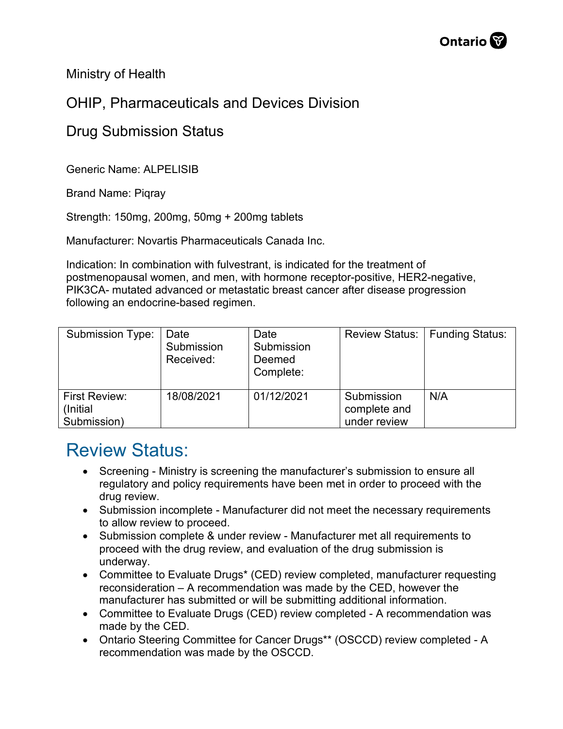Ministry of Health

## OHIP, Pharmaceuticals and Devices Division

## Drug Submission Status

Generic Name: ALPELISIB

Brand Name: Piqray

Strength: 150mg, 200mg, 50mg + 200mg tablets

Manufacturer: Novartis Pharmaceuticals Canada Inc.

Indication: In combination with fulvestrant, is indicated for the treatment of postmenopausal women, and men, with hormone receptor-positive, HER2-negative, PIK3CA- mutated advanced or metastatic breast cancer after disease progression following an endocrine-based regimen.

| Submission Type:                         | Date<br>Submission<br>Received: | Date<br>Submission<br>Deemed<br>Complete: | <b>Review Status:</b>                      | Funding Status: |
|------------------------------------------|---------------------------------|-------------------------------------------|--------------------------------------------|-----------------|
| First Review:<br>(Initial<br>Submission) | 18/08/2021                      | 01/12/2021                                | Submission<br>complete and<br>under review | N/A             |

## Review Status:

- Screening Ministry is screening the manufacturer's submission to ensure all regulatory and policy requirements have been met in order to proceed with the drug review.
- Submission incomplete Manufacturer did not meet the necessary requirements to allow review to proceed.
- Submission complete & under review Manufacturer met all requirements to proceed with the drug review, and evaluation of the drug submission is underway.
- Committee to Evaluate Drugs\* (CED) review completed, manufacturer requesting reconsideration – A recommendation was made by the CED, however the manufacturer has submitted or will be submitting additional information.
- Committee to Evaluate Drugs (CED) review completed A recommendation was made by the CED.
- Ontario Steering Committee for Cancer Drugs\*\* (OSCCD) review completed A recommendation was made by the OSCCD.